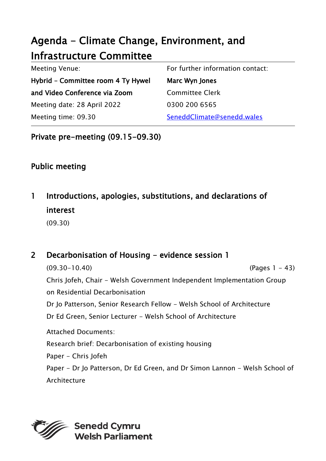# Agenda - Climate Change, Environment, and Infrastructure Committee

| Meeting Venue:                     | For further information contact: |
|------------------------------------|----------------------------------|
| Hybrid - Committee room 4 Ty Hywel | Marc Wyn Jones                   |
| and Video Conference via Zoom      | <b>Committee Clerk</b>           |
| Meeting date: 28 April 2022        | 0300 200 6565                    |
| Meeting time: 09.30                | SeneddClimate@senedd.wales       |

## Private pre-meeting (09.15-09.30)

# Public meeting

# 1 Introductions, apologies, substitutions, and declarations of interest

(09.30)

# 2 Decarbonisation of Housing - evidence session 1

(09.30-10.40) (Pages 1 - 43) Chris Jofeh, Chair - Welsh Government Independent Implementation Group on Residential Decarbonisation Dr Jo Patterson, Senior Research Fellow - Welsh School of Architecture Dr Ed Green, Senior Lecturer - Welsh School of Architecture Attached Documents: Research brief: Decarbonisation of existing housing Paper - Chris Jofeh Paper - Dr Jo Patterson, Dr Ed Green, and Dr Simon Lannon - Welsh School of Architecture

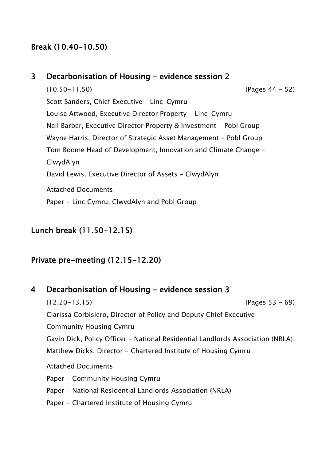# Break (10.40-10.50)

## 3 Decarbonisation of Housing - evidence session 2

(10.50-11.50) (Pages 44 - 52) Scott Sanders, Chief Executive – Linc-Cymru Louise Attwood, Executive Director Property - Linc-Cymru Neil Barber, Executive Director Property & Investment - Pobl Group Wayne Harris, Director of Strategic Asset Management - Pobl Group Tom Boome Head of Development, Innovation and Climate Change - ClwydAlyn David Lewis, Executive Director of Assets - ClwydAlyn Attached Documents: Paper - Linc Cymru, ClwydAlyn and Pobl Group

# Lunch break (11.50-12.15)

## Private pre-meeting (12.15-12.20)

#### 4 Decarbonisation of Housing - evidence session 3

(12.20-13.15) (Pages 53 - 69) Clarissa Corbisiero, Director of Policy and Deputy Chief Executive - Community Housing Cymru Gavin Dick, Policy Officer – National Residential Landlords Association (NRLA) Matthew Dicks, Director - Chartered Institute of Housing Cymru Attached Documents: Paper - Community Housing Cymru Paper - National Residential Landlords Association (NRLA) Paper - Chartered Institute of Housing Cymru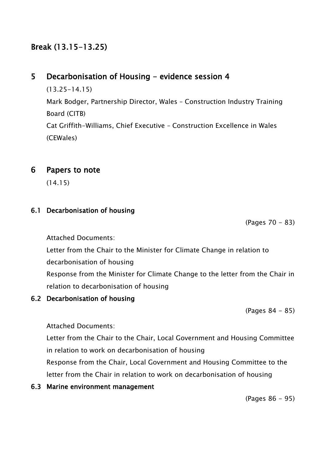# Break (13.15-13.25)

# 5 Decarbonisation of Housing - evidence session 4

(13.25-14.15) Mark Bodger, Partnership Director, Wales – Construction Industry Training Board (CITB) Cat Griffith-Williams, Chief Executive – Construction Excellence in Wales (CEWales)

## 6 Papers to note

(14.15)

## 6.1 Decarbonisation of housing

(Pages 70 - 83)

Attached Documents:

Letter from the Chair to the Minister for Climate Change in relation to decarbonisation of housing

Response from the Minister for Climate Change to the letter from the Chair in relation to decarbonisation of housing

#### 6.2 Decarbonisation of housing

(Pages 84 - 85)

Attached Documents:

Letter from the Chair to the Chair, Local Government and Housing Committee in relation to work on decarbonisation of housing

Response from the Chair, Local Government and Housing Committee to the letter from the Chair in relation to work on decarbonisation of housing

#### 6.3 Marine environment management

(Pages 86 - 95)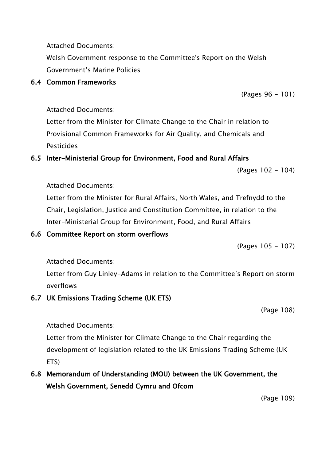Attached Documents:

Welsh Government response to the Committee's Report on the Welsh Government's Marine Policies

(Pages 96 - 101)

#### 6.4 Common Frameworks

Attached Documents:

Letter from the Minister for Climate Change to the Chair in relation to Provisional Common Frameworks for Air Quality, and Chemicals and Pesticides

## 6.5 Inter-Ministerial Group for Environment, Food and Rural Affairs

(Pages 102 - 104)

Attached Documents:

Letter from the Minister for Rural Affairs, North Wales, and Trefnydd to the Chair, Legislation, Justice and Constitution Committee, in relation to the Inter-Ministerial Group for Environment, Food, and Rural Affairs

## 6.6 Committee Report on storm overflows

(Pages 105 - 107)

Attached Documents:

Letter from Guy Linley-Adams in relation to the Committee's Report on storm overflows

## 6.7 UK Emissions Trading Scheme (UK ETS)

(Page 108)

Attached Documents:

Letter from the Minister for Climate Change to the Chair regarding the development of legislation related to the UK Emissions Trading Scheme (UK ETS)

# 6.8 Memorandum of Understanding (MOU) between the UK Government, the Welsh Government, Senedd Cymru and Ofcom

(Page 109)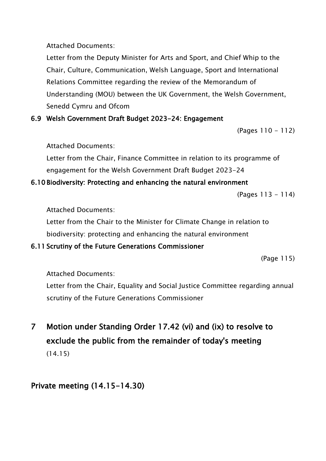Attached Documents:

Letter from the Deputy Minister for Arts and Sport, and Chief Whip to the Chair, Culture, Communication, Welsh Language, Sport and International Relations Committee regarding the review of the Memorandum of Understanding (MOU) between the UK Government, the Welsh Government, Senedd Cymru and Ofcom

## 6.9 Welsh Government Draft Budget 2023-24: Engagement

(Pages 110 - 112)

#### Attached Documents:

Letter from the Chair, Finance Committee in relation to its programme of engagement for the Welsh Government Draft Budget 2023-24

## 6.10 Biodiversity: Protecting and enhancing the natural environment

(Pages 113 - 114)

Attached Documents:

Letter from the Chair to the Minister for Climate Change in relation to biodiversity: protecting and enhancing the natural environment

## 6.11 Scrutiny of the Future Generations Commissioner

(Page 115)

Attached Documents:

Letter from the Chair, Equality and Social Justice Committee regarding annual scrutiny of the Future Generations Commissioner

7 Motion under Standing Order 17.42 (vi) and (ix) to resolve to exclude the public from the remainder of today's meeting (14.15)

# Private meeting (14.15-14.30)